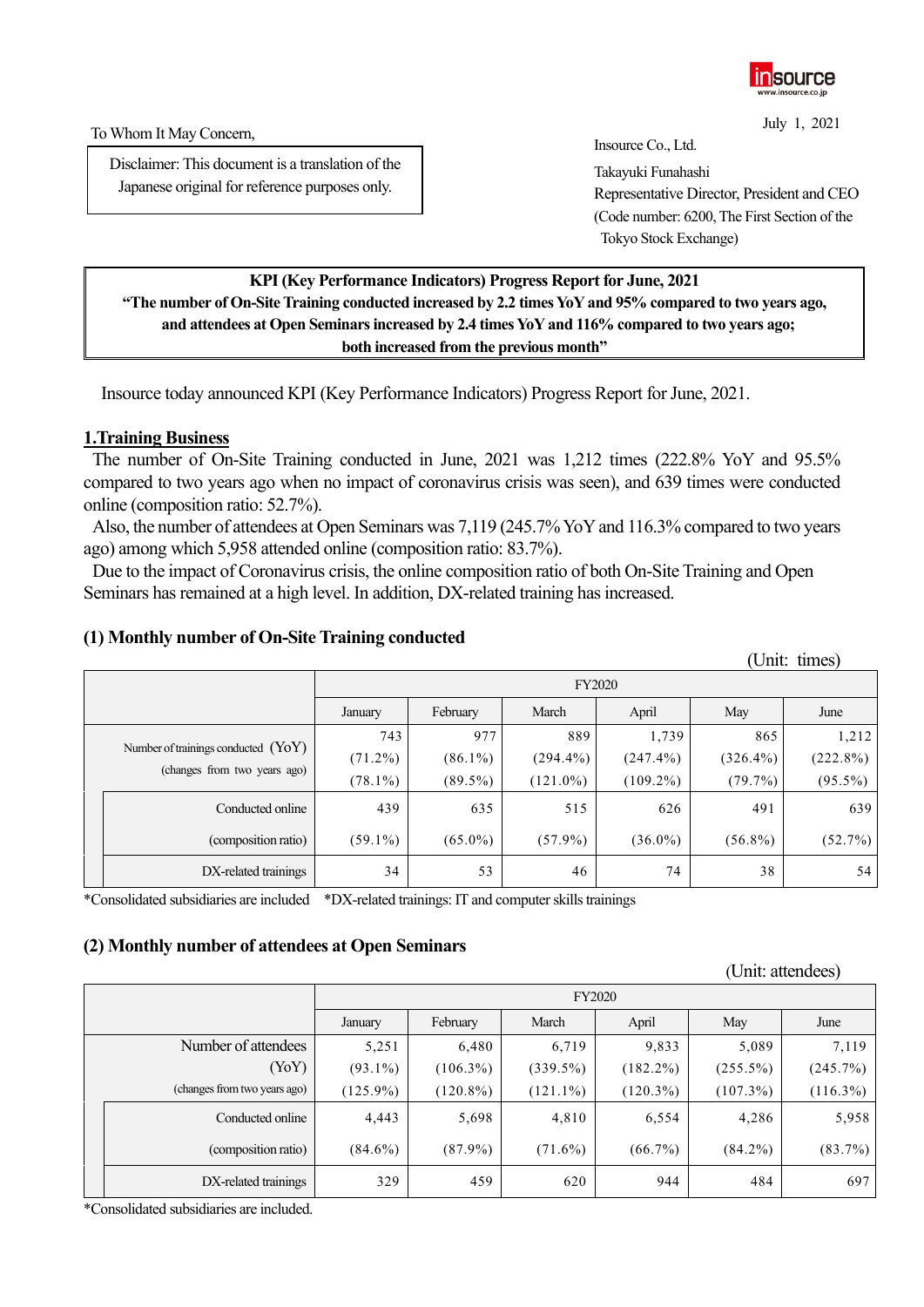

July 1, 2021

To Whom It May Concern,

Disclaimer: This document is a translation of the Japanese original for reference purposes only.

Insource Co., Ltd.

Takayuki Funahashi Representative Director, President and CEO (Code number: 6200, The First Section of the Tokyo Stock Exchange)

## **KPI(Key Performance Indicators) Progress Report for June, 2021 "The number of On-Site Training conducted increased by 2.2 times YoY and 95% compared to two years ago, and attendees at Open Seminars increased by 2.4 times YoY and 116% compared to two years ago; both increased from the previous month"**

Insource today announced KPI (Key Performance Indicators) Progress Report for June, 2021.

# **1.Training Business**

The number of On-Site Training conducted in June, 2021 was 1,212 times (222.8% YoY and 95.5% compared to two years ago when no impact of coronavirus crisis was seen), and 639 times were conducted online (composition ratio: 52.7%).

Also, the number of attendees at Open Seminars was 7,119 (245.7% YoY and 116.3% compared to two years ago) among which 5,958 attended online (composition ratio: 83.7%).

Due to the impact of Coronavirus crisis, the online composition ratio of both On-Site Training and Open Seminars has remained at a high level. In addition, DX-related training has increased.

## **(1) Monthly number of On-Site Training conducted**

|  |                                                                       |               |            |             |             |             | UIIII. UIIIES) |  |
|--|-----------------------------------------------------------------------|---------------|------------|-------------|-------------|-------------|----------------|--|
|  |                                                                       | <b>FY2020</b> |            |             |             |             |                |  |
|  |                                                                       | January       | February   | March       | April       | May         | June           |  |
|  | Number of trainings conducted $(YoY)$<br>(changes from two years ago) | 743           | 977        | 889         | 1,739       | 865         | 1,212          |  |
|  |                                                                       | $(71.2\%)$    | $(86.1\%)$ | $(294.4\%)$ | $(247.4\%)$ | $(326.4\%)$ | (222.8%)       |  |
|  |                                                                       | $(78.1\%)$    | $(89.5\%)$ | $(121.0\%)$ | $(109.2\%)$ | (79.7%)     | $(95.5\%)$     |  |
|  | Conducted online                                                      | 439           | 635        | 515         | 626         | 491         | 639            |  |
|  | (composition ratio)                                                   | $(59.1\%)$    | $(65.0\%)$ | $(57.9\%)$  | $(36.0\%)$  | $(56.8\%)$  | (52.7%)        |  |
|  | DX-related trainings                                                  | 34            | 53         | 46          | 74          | 38          | 54             |  |

\*Consolidated subsidiaries are included \*DX-related trainings: IT and computer skills trainings

## **(2) Monthly number of attendees at Open Seminars**

|  |                              |             |               |             |             |             | $\cup$ IIII. auchuccs) |  |
|--|------------------------------|-------------|---------------|-------------|-------------|-------------|------------------------|--|
|  |                              |             | <b>FY2020</b> |             |             |             |                        |  |
|  |                              | January     | February      | March       | April       | May         | June                   |  |
|  | Number of attendees          | 5,251       | 6,480         | 6,719       | 9,833       | 5,089       | 7,119                  |  |
|  | (YoY)                        | $(93.1\%)$  | $(106.3\%)$   | $(339.5\%)$ | $(182.2\%)$ | $(255.5\%)$ | (245.7%)               |  |
|  | (changes from two years ago) | $(125.9\%)$ | $(120.8\%)$   | $(121.1\%)$ | $(120.3\%)$ | $(107.3\%)$ | $(116.3\%)$            |  |
|  | Conducted online             | 4,443       | 5,698         | 4,810       | 6,554       | 4,286       | 5,958                  |  |
|  | (composition ratio)          | $(84.6\%)$  | $(87.9\%)$    | $(71.6\%)$  | $(66.7\%)$  | $(84.2\%)$  | (83.7%)                |  |
|  | DX-related trainings         | 329         | 459           | 620         | 944         | 484         | 697                    |  |

\*Consolidated subsidiaries are included.

 $(U_{\text{min}} + \text{time})$ 

(Unit: attendees)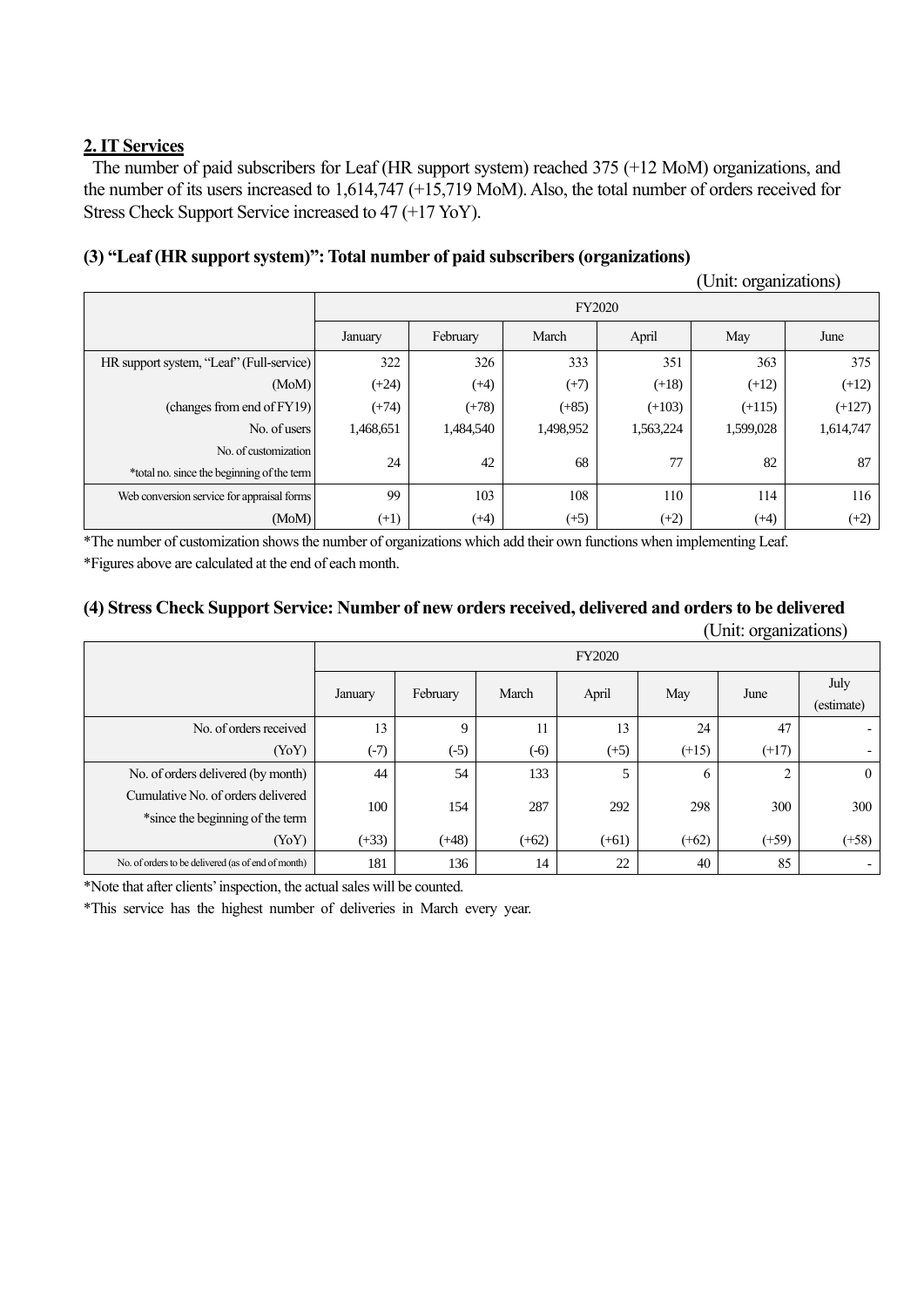# **2. IT Services**

The number of paid subscribers for Leaf (HR support system) reached 375 (+12 MoM) organizations, and the number of its users increased to 1,614,747 (+15,719 MoM). Also, the total number of orders received for Stress Check Support Service increased to 47 (+17 YoY).

# **(3) "Leaf (HR support system)": Total number of paid subscribers (organizations)**

(Unit: organizations)

|                                            | FY2020    |           |           |           |           |           |
|--------------------------------------------|-----------|-----------|-----------|-----------|-----------|-----------|
|                                            | January   | February  | March     | April     | May       | June      |
| HR support system, "Leaf" (Full-service)   | 322       | 326       | 333       | 351       | 363       | 375       |
| (MoM)                                      | $(+24)$   | $(+4)$    | $(+7)$    | $(+18)$   | $(+12)$   | $(+12)$   |
| (changes from end of FY19)                 | $(+74)$   | $(+78)$   | $(+85)$   | $(+103)$  | $(+115)$  | $(+127)$  |
| No. of users                               | 1,468,651 | 1,484,540 | 1,498,952 | 1,563,224 | 1,599,028 | 1,614,747 |
| No. of customization                       |           |           |           |           |           |           |
| *total no. since the beginning of the term | 24<br>42  | 68        | 77        | 82        | 87        |           |
| Web conversion service for appraisal forms | 99        | 103       | 108       | 110       | 114       | 116       |
| (MoM)                                      | $(+1)$    | $(+4)$    | $(+5)$    | $(+2)$    | (+4)      | $(+2)$    |

\*The number of customization shows the number of organizations which add their own functions when implementing Leaf. \*Figures above are calculated at the end of each month.

## **(4) Stress Check Support Service: Number of new orders received, delivered and orders to be delivered**  (Unit: organizations)

|                                                    | <b>FY2020</b> |          |         |         |          |         |                    |  |
|----------------------------------------------------|---------------|----------|---------|---------|----------|---------|--------------------|--|
|                                                    | January       | February | March   | April   | May      | June    | July<br>(estimate) |  |
| No. of orders received                             | 13            | 9        | 11      | 13      | 24       | 47      |                    |  |
| (YoY)                                              | $(-7)$        | $(-5)$   | $(-6)$  | $(+5)$  | $(+15)$  | $(+17)$ |                    |  |
| No. of orders delivered (by month)                 | 44            | 54       | 133     | 5       | $\sigma$ | ↑       | $\overline{0}$     |  |
| Cumulative No. of orders delivered                 | 100           | 154      | 287     | 292     | 298      | 300     | 300                |  |
| *since the beginning of the term                   |               |          |         |         |          |         |                    |  |
| (YoY)                                              | $(+33)$       | $(+48)$  | $(+62)$ | $(+61)$ | $(+62)$  | $(+59)$ | $(+58)$            |  |
| No. of orders to be delivered (as of end of month) | 181           | 136      | 14      | 22      | 40       | 85      |                    |  |

\*Note that after clients'inspection, the actual sales will be counted.

\*This service has the highest number of deliveries in March every year.